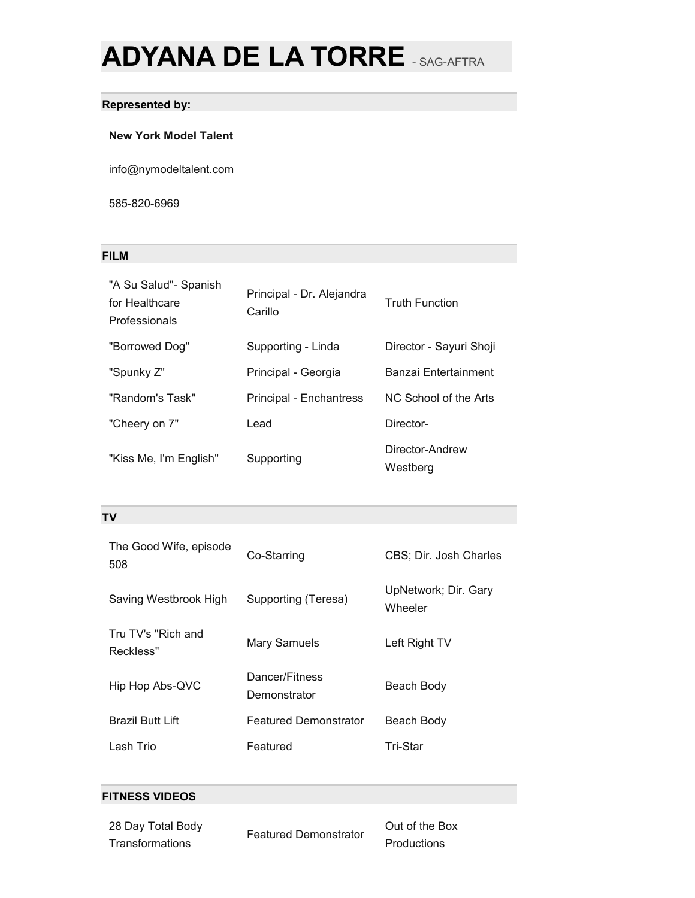# **ADYANA DE LA TORRE** - SAG-AFTRA

## **Represented by:**

#### **New York Model Talent**

info@nymodeltalent.com

585-820-6969

## **FILM**

| "A Su Salud"- Spanish<br>for Healthcare<br>Professionals | Principal - Dr. Alejandra<br>Carillo | <b>Truth Function</b>       |
|----------------------------------------------------------|--------------------------------------|-----------------------------|
| "Borrowed Dog"                                           | Supporting - Linda                   | Director - Sayuri Shoji     |
| "Spunky Z"                                               | Principal - Georgia                  | Banzai Entertainment        |
| "Random's Task"                                          | <b>Principal - Enchantress</b>       | NC School of the Arts       |
| "Cheery on 7"                                            | Lead                                 | Director-                   |
| "Kiss Me, I'm English"                                   | Supporting                           | Director-Andrew<br>Westberg |

## **TV**

| The Good Wife, episode<br>508   | Co-Starring                    | CBS; Dir. Josh Charles          |
|---------------------------------|--------------------------------|---------------------------------|
| Saving Westbrook High           | Supporting (Teresa)            | UpNetwork; Dir. Gary<br>Wheeler |
| Tru TV's "Rich and<br>Reckless" | Mary Samuels                   | Left Right TV                   |
| Hip Hop Abs-QVC                 | Dancer/Fitness<br>Demonstrator | Beach Body                      |
| Brazil Butt Lift                | <b>Featured Demonstrator</b>   | Beach Body                      |
| Lash Trio                       | Featured                       | Tri-Star                        |

#### **FITNESS VIDEOS**

28 Day Total Body **Transformations** 

Featured Demonstrator

Out of the Box Productions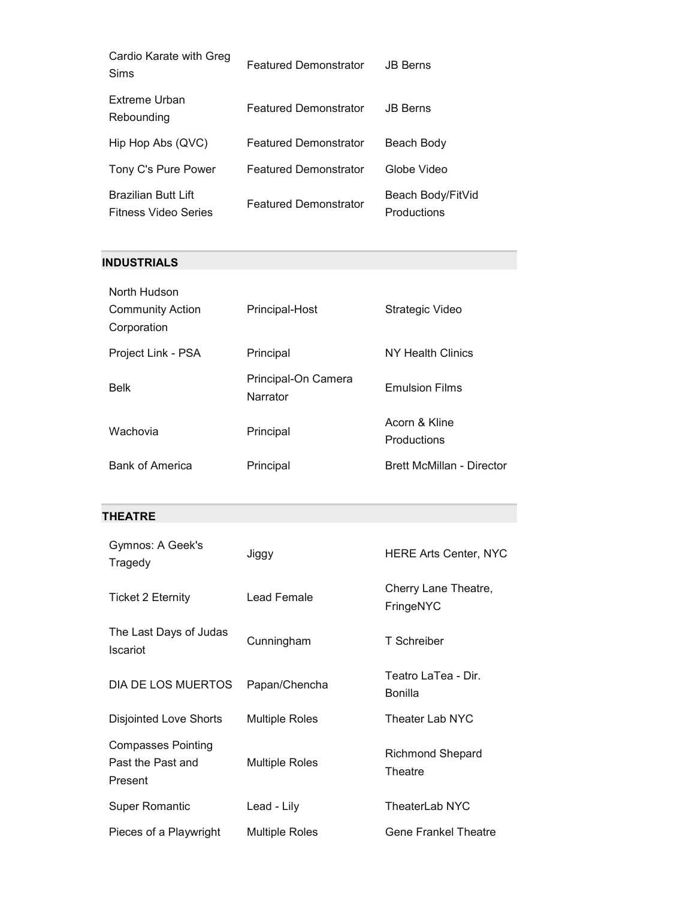| Cardio Karate with Greg<br>Sims                           | <b>Featured Demonstrator</b> | <b>JB Berns</b>                  |
|-----------------------------------------------------------|------------------------------|----------------------------------|
| Extreme Urban<br>Rebounding                               | <b>Featured Demonstrator</b> | <b>JB Berns</b>                  |
| Hip Hop Abs (QVC)                                         | <b>Featured Demonstrator</b> | Beach Body                       |
| Tony C's Pure Power                                       | <b>Featured Demonstrator</b> | Globe Video                      |
| <b>Brazilian Butt Lift</b><br><b>Fitness Video Series</b> | <b>Featured Demonstrator</b> | Beach Body/FitVid<br>Productions |

# **INDUSTRIALS**

| North Hudson            |                                 |                              |
|-------------------------|---------------------------------|------------------------------|
| <b>Community Action</b> | Principal-Host                  | Strategic Video              |
| Corporation             |                                 |                              |
| Project Link - PSA      | Principal                       | NY Health Clinics            |
| <b>Belk</b>             | Principal-On Camera<br>Narrator | <b>Emulsion Films</b>        |
| Wachovia                | Principal                       | Acorn & Kline<br>Productions |
| <b>Bank of America</b>  | Principal                       | Brett McMillan - Director    |

# **THEATRE**

| Gymnos: A Geek's<br>Tragedy                        | Jiggy                 | <b>HERE Arts Center, NYC</b>          |
|----------------------------------------------------|-----------------------|---------------------------------------|
| <b>Ticket 2 Eternity</b>                           | Lead Female           | Cherry Lane Theatre,<br>FringeNYC     |
| The Last Days of Judas<br><b>Iscariot</b>          | Cunningham            | T Schreiber                           |
| DIA DE LOS MUERTOS                                 | Papan/Chencha         | Teatro LaTea - Dir.<br><b>Bonilla</b> |
| <b>Disjointed Love Shorts</b>                      | <b>Multiple Roles</b> | Theater Lab NYC                       |
| Compasses Pointing<br>Past the Past and<br>Present | <b>Multiple Roles</b> | Richmond Shepard<br>Theatre           |
| <b>Super Romantic</b>                              | Lead - Lily           | TheaterLab NYC                        |
| Pieces of a Playwright                             | <b>Multiple Roles</b> | <b>Gene Frankel Theatre</b>           |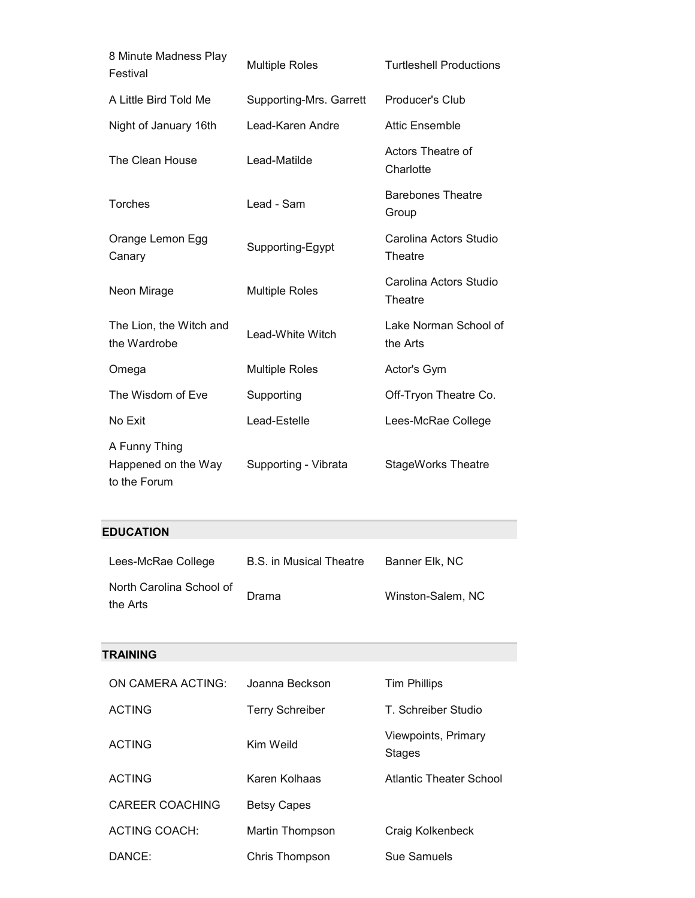| 8 Minute Madness Play<br>Festival                    | <b>Multiple Roles</b>   | <b>Turtleshell Productions</b>    |
|------------------------------------------------------|-------------------------|-----------------------------------|
| A Little Bird Told Me                                | Supporting-Mrs. Garrett | Producer's Club                   |
| Night of January 16th                                | Lead-Karen Andre        | <b>Attic Ensemble</b>             |
| The Clean House                                      | Lead-Matilde            | Actors Theatre of<br>Charlotte    |
| <b>Torches</b>                                       | Lead - Sam              | <b>Barebones Theatre</b><br>Group |
| Orange Lemon Egg<br>Canary                           | Supporting-Egypt        | Carolina Actors Studio<br>Theatre |
| Neon Mirage                                          | <b>Multiple Roles</b>   | Carolina Actors Studio<br>Theatre |
| The Lion, the Witch and<br>the Wardrobe              | Lead-White Witch        | Lake Norman School of<br>the Arts |
| Omega                                                | <b>Multiple Roles</b>   | Actor's Gym                       |
| The Wisdom of Eve                                    | Supporting              | Off-Tryon Theatre Co.             |
| No Exit                                              | Lead-Estelle            | Lees-McRae College                |
| A Funny Thing<br>Happened on the Way<br>to the Forum | Supporting - Vibrata    | <b>StageWorks Theatre</b>         |

# **EDUCATION**

| Lees-McRae College       | B.S. in Musical Theatre | Banner Elk. NC    |
|--------------------------|-------------------------|-------------------|
| North Carolina School of | Drama                   | Winston-Salem, NC |
| the Arts                 |                         |                   |

# **TRAINING**

| ON CAMERA ACTING:      | Joanna Beckson         | <b>Tim Phillips</b>                  |
|------------------------|------------------------|--------------------------------------|
| <b>ACTING</b>          | <b>Terry Schreiber</b> | T. Schreiber Studio                  |
| <b>ACTING</b>          | Kim Weild              | Viewpoints, Primary<br><b>Stages</b> |
| <b>ACTING</b>          | Karen Kolhaas          | Atlantic Theater School              |
| <b>CAREER COACHING</b> | <b>Betsy Capes</b>     |                                      |
| <b>ACTING COACH:</b>   | Martin Thompson        | Craig Kolkenbeck                     |
| DANCE:                 | Chris Thompson         | Sue Samuels                          |